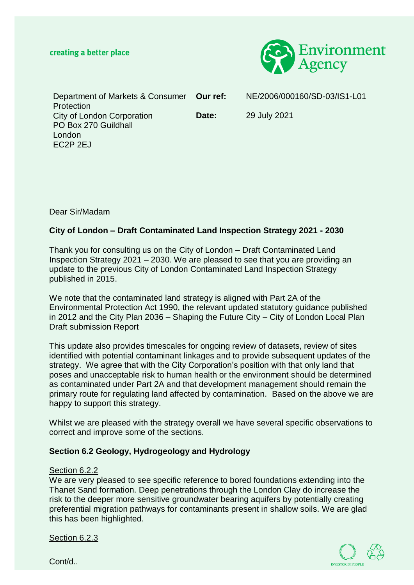

Department of Markets & Consumer Protection City of London Corporation PO Box 270 Guildhall London EC2P 2EJ **Our ref:** NE/2006/000160/SD-03/IS1-L01 **Date:** 29 July 2021

Dear Sir/Madam

## **City of London – Draft Contaminated Land Inspection Strategy 2021 - 2030**

Thank you for consulting us on the City of London – Draft Contaminated Land Inspection Strategy 2021 – 2030. We are pleased to see that you are providing an update to the previous City of London Contaminated Land Inspection Strategy published in 2015.

We note that the contaminated land strategy is aligned with Part 2A of the Environmental Protection Act 1990, the relevant updated statutory guidance published in 2012 and the City Plan 2036 – Shaping the Future City – City of London Local Plan Draft submission Report

This update also provides timescales for ongoing review of datasets, review of sites identified with potential contaminant linkages and to provide subsequent updates of the strategy. We agree that with the City Corporation's position with that only land that poses and unacceptable risk to human health or the environment should be determined as contaminated under Part 2A and that development management should remain the primary route for regulating land affected by contamination. Based on the above we are happy to support this strategy.

Whilst we are pleased with the strategy overall we have several specific observations to correct and improve some of the sections.

#### **Section 6.2 Geology, Hydrogeology and Hydrology**

#### Section 6.2.2

We are very pleased to see specific reference to bored foundations extending into the Thanet Sand formation. Deep penetrations through the London Clay do increase the risk to the deeper more sensitive groundwater bearing aquifers by potentially creating preferential migration pathways for contaminants present in shallow soils. We are glad this has been highlighted.

Section 6.2.3



Cont/d..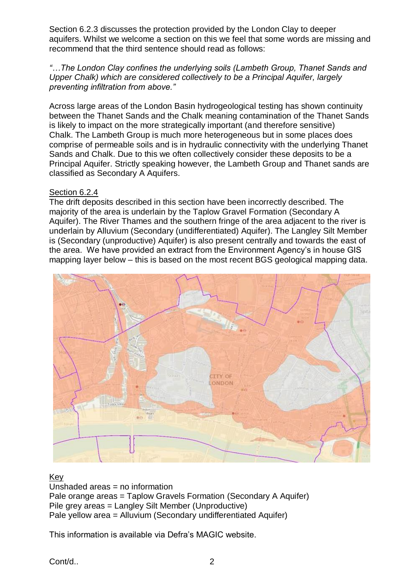Section 6.2.3 discusses the protection provided by the London Clay to deeper aquifers. Whilst we welcome a section on this we feel that some words are missing and recommend that the third sentence should read as follows:

*"…The London Clay confines the underlying soils (Lambeth Group, Thanet Sands and Upper Chalk) which are considered collectively to be a Principal Aquifer, largely preventing infiltration from above."*

Across large areas of the London Basin hydrogeological testing has shown continuity between the Thanet Sands and the Chalk meaning contamination of the Thanet Sands is likely to impact on the more strategically important (and therefore sensitive) Chalk. The Lambeth Group is much more heterogeneous but in some places does comprise of permeable soils and is in hydraulic connectivity with the underlying Thanet Sands and Chalk. Due to this we often collectively consider these deposits to be a Principal Aquifer. Strictly speaking however, the Lambeth Group and Thanet sands are classified as Secondary A Aquifers.

### Section 6.2.4

The drift deposits described in this section have been incorrectly described. The majority of the area is underlain by the Taplow Gravel Formation (Secondary A Aquifer). The River Thames and the southern fringe of the area adjacent to the river is underlain by Alluvium (Secondary (undifferentiated) Aquifer). The Langley Silt Member is (Secondary (unproductive) Aquifer) is also present centrally and towards the east of the area. We have provided an extract from the Environment Agency's in house GIS mapping layer below – this is based on the most recent BGS geological mapping data.



# Key

Unshaded areas = no information Pale orange areas = Taplow Gravels Formation (Secondary A Aquifer) Pile grey areas = Langley Silt Member (Unproductive) Pale yellow area = Alluvium (Secondary undifferentiated Aquifer)

This information is available via Defra's MAGIC website.

Cont/d.. 2